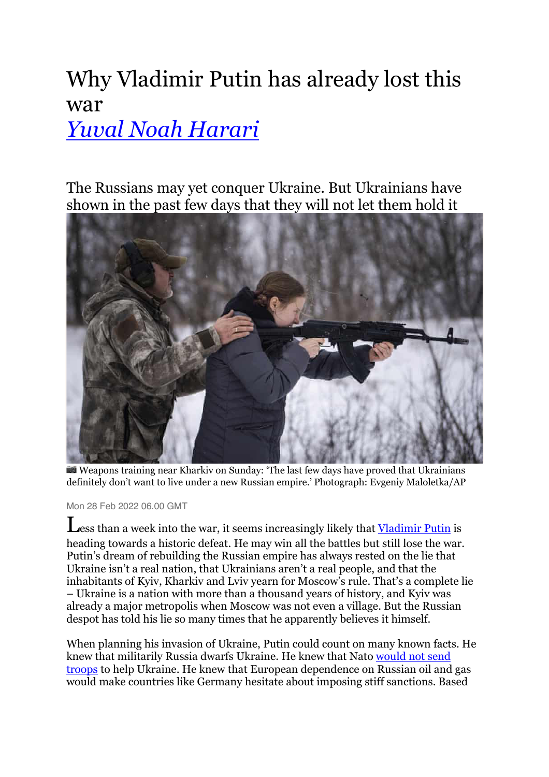## Why Vladimir Putin has already lost this war *Yuval Noah Harari*

The Russians may yet conquer Ukraine. But Ukrainians have shown in the past few days that they will not let them hold it



 Weapons training near Kharkiv on Sunday: 'The last few days have proved that Ukrainians definitely don't want to live under a new Russian empire.' Photograph: Evgeniy Maloletka/AP

Mon 28 Feb 2022 06.00 GMT

Less than a week into the war, it seems increasingly likely that **Vladimir Putin** is heading towards a historic defeat. He may win all the battles but still lose the war. Putin's dream of rebuilding the Russian empire has always rested on the lie that Ukraine isn't a real nation, that Ukrainians aren't a real people, and that the inhabitants of Kyiv, Kharkiv and Lviv yearn for Moscow's rule. That's a complete lie – Ukraine is a nation with more than a thousand years of history, and Kyiv was already a major metropolis when Moscow was not even a village. But the Russian despot has told his lie so many times that he apparently believes it himself.

When planning his invasion of Ukraine, Putin could count on many known facts. He knew that militarily Russia dwarfs Ukraine. He knew that Nato would not send troops to help Ukraine. He knew that European dependence on Russian oil and gas would make countries like Germany hesitate about imposing stiff sanctions. Based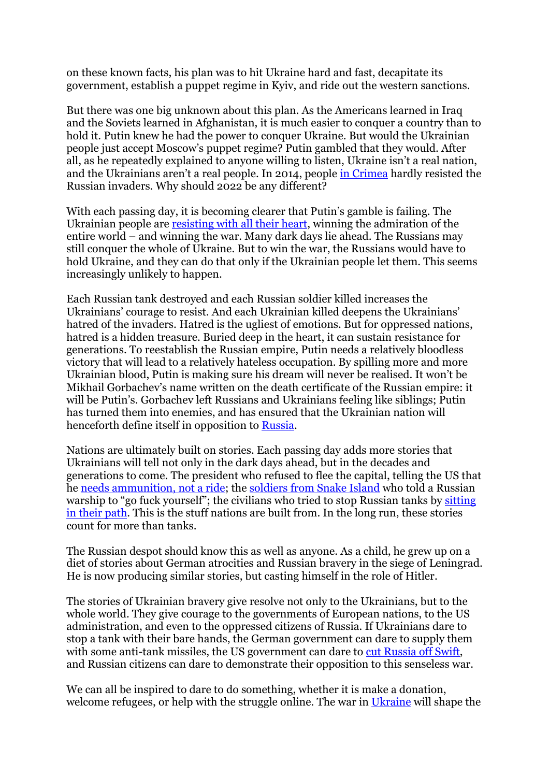on these known facts, his plan was to hit Ukraine hard and fast, decapitate its government, establish a puppet regime in Kyiv, and ride out the western sanctions.

But there was one big unknown about this plan. As the Americans learned in Iraq and the Soviets learned in Afghanistan, it is much easier to conquer a country than to hold it. Putin knew he had the power to conquer Ukraine. But would the Ukrainian people just accept Moscow's puppet regime? Putin gambled that they would. After all, as he repeatedly explained to anyone willing to listen, Ukraine isn't a real nation, and the Ukrainians aren't a real people. In 2014, people in Crimea hardly resisted the Russian invaders. Why should 2022 be any different?

With each passing day, it is becoming clearer that Putin's gamble is failing. The Ukrainian people are **resisting with all their heart**, winning the admiration of the entire world – and winning the war. Many dark days lie ahead. The Russians may still conquer the whole of Ukraine. But to win the war, the Russians would have to hold Ukraine, and they can do that only if the Ukrainian people let them. This seems increasingly unlikely to happen.

Each Russian tank destroyed and each Russian soldier killed increases the Ukrainians' courage to resist. And each Ukrainian killed deepens the Ukrainians' hatred of the invaders. Hatred is the ugliest of emotions. But for oppressed nations, hatred is a hidden treasure. Buried deep in the heart, it can sustain resistance for generations. To reestablish the Russian empire, Putin needs a relatively bloodless victory that will lead to a relatively hateless occupation. By spilling more and more Ukrainian blood, Putin is making sure his dream will never be realised. It won't be Mikhail Gorbachev's name written on the death certificate of the Russian empire: it will be Putin's. Gorbachev left Russians and Ukrainians feeling like siblings; Putin has turned them into enemies, and has ensured that the Ukrainian nation will henceforth define itself in opposition to Russia.

Nations are ultimately built on stories. Each passing day adds more stories that Ukrainians will tell not only in the dark days ahead, but in the decades and generations to come. The president who refused to flee the capital, telling the US that he needs ammunition, not a ride; the soldiers from Snake Island who told a Russian warship to "go fuck yourself"; the civilians who tried to stop Russian tanks by sitting in their path. This is the stuff nations are built from. In the long run, these stories count for more than tanks.

The Russian despot should know this as well as anyone. As a child, he grew up on a diet of stories about German atrocities and Russian bravery in the siege of Leningrad. He is now producing similar stories, but casting himself in the role of Hitler.

The stories of Ukrainian bravery give resolve not only to the Ukrainians, but to the whole world. They give courage to the governments of European nations, to the US administration, and even to the oppressed citizens of Russia. If Ukrainians dare to stop a tank with their bare hands, the German government can dare to supply them with some anti-tank missiles, the US government can dare to cut Russia off Swift, and Russian citizens can dare to demonstrate their opposition to this senseless war.

We can all be inspired to dare to do something, whether it is make a donation, welcome refugees, or help with the struggle online. The war in Ukraine will shape the